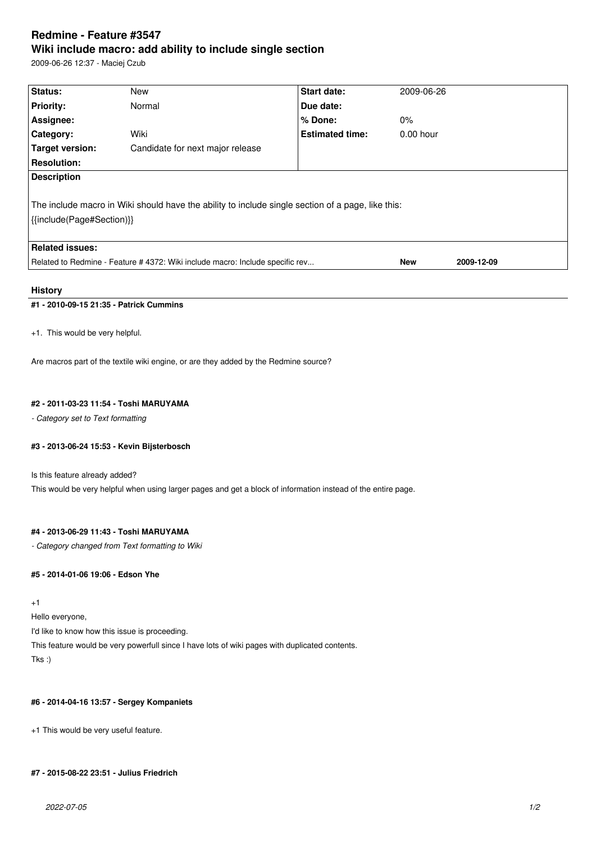# **Redmine - Feature #3547 Wiki include macro: add ability to include single section**

2009-06-26 12:37 - Maciej Czub

| Status:                                                                                                                        | New                              | <b>Start date:</b>     | 2009-06-26  |            |
|--------------------------------------------------------------------------------------------------------------------------------|----------------------------------|------------------------|-------------|------------|
| <b>Priority:</b>                                                                                                               | Normal                           | Due date:              |             |            |
| Assignee:                                                                                                                      |                                  | % Done:                | $0\%$       |            |
| <b>Category:</b>                                                                                                               | Wiki                             | <b>Estimated time:</b> | $0.00$ hour |            |
| Target version:                                                                                                                | Candidate for next major release |                        |             |            |
| <b>Resolution:</b>                                                                                                             |                                  |                        |             |            |
| <b>Description</b>                                                                                                             |                                  |                        |             |            |
| The include macro in Wiki should have the ability to include single section of a page, like this:<br>{{include(Page#Section)}} |                                  |                        |             |            |
| <b>Related issues:</b>                                                                                                         |                                  |                        |             |            |
| Related to Redmine - Feature # 4372: Wiki include macro: Include specific rev                                                  |                                  |                        | <b>New</b>  | 2009-12-09 |
|                                                                                                                                |                                  |                        |             |            |

## **History**

# **#1 - 2010-09-15 21:35 - Patrick Cummins**

+1. This would be very helpful.

Are macros part of the textile wiki engine, or are they added by the Redmine source?

## **#2 - 2011-03-23 11:54 - Toshi MARUYAMA**

*- Category set to Text formatting*

## **#3 - 2013-06-24 15:53 - Kevin Bijsterbosch**

Is this feature already added?

This would be very helpful when using larger pages and get a block of information instead of the entire page.

### **#4 - 2013-06-29 11:43 - Toshi MARUYAMA**

*- Category changed from Text formatting to Wiki*

## **#5 - 2014-01-06 19:06 - Edson Yhe**

+1

Hello everyone,

I'd like to know how this issue is proceeding.

This feature would be very powerfull since I have lots of wiki pages with duplicated contents.

Tks :)

### **#6 - 2014-04-16 13:57 - Sergey Kompaniets**

+1 This would be very useful feature.

## **#7 - 2015-08-22 23:51 - Julius Friedrich**